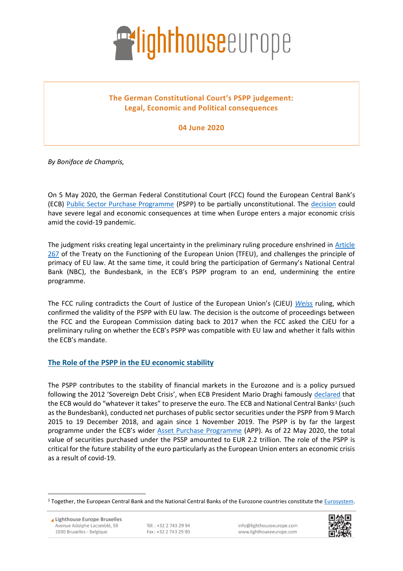

# **The German Constitutional Court's PSPP judgement: Legal, Economic and Political consequences**

**04 June 2020**

*By Boniface de Champris,*

On 5 May 2020, the German Federal Constitutional Court (FCC) found the European Central Bank's (ECB) [Public Sector Purchase Programme](https://www.ecb.europa.eu/mopo/implement/omt/html/index.en.html#pspp) (PSPP) to be partially unconstitutional. The [decision](https://www.bundesverfassungsgericht.de/SharedDocs/Entscheidungen/EN/2020/05/rs20200505_2bvr085915en.html) could have severe legal and economic consequences at time when Europe enters a major economic crisis amid the covid-19 pandemic.

The judgment risks creating legal uncertainty in the preliminary ruling procedure enshrined in Article [267](https://eur-lex.europa.eu/LexUriServ/LexUriServ.do?uri=CELEX:12008E267:en:HTML) of the Treaty on the Functioning of the European Union (TFEU), and challenges the principle of primacy of EU law. At the same time, it could bring the participation of Germany's National Central Bank (NBC), the Bundesbank, in the ECB's PSPP program to an end, undermining the entire programme.

The FCC ruling contradicts the Court of Justice of the European Union's (CJEU) *[Weiss](http://curia.europa.eu/juris/document/document.jsf?text=&docid=208741&pageIndex=0&doclang=EN&mode=lst&dir=&occ=first&part=1&cid=6385187)* ruling, which confirmed the validity of the PSPP with EU law. The decision is the outcome of proceedings between the FCC and the European Commission dating back to 2017 when the FCC asked the CJEU for a preliminary ruling on whether the ECB's PSPP was compatible with EU law and whether it falls within the ECB's mandate.

#### **The Role of the PSPP in the EU economic stability**

The PSPP contributes to the stability of financial markets in the Eurozone and is a policy pursued following the 2012 'Sovereign Debt Crisis', when ECB President Mario Draghi famously [declared](https://www.ecb.europa.eu/press/key/date/2012/html/sp120726.en.html) that the ECB would do "whatever it takes" to preserve the euro. The ECB and National Central Banks1 (such as the Bundesbank), conducted net purchases of public sector securities under the PSPP from 9 March 2015 to 19 December 2018, and again since 1 November 2019. The PSPP is by far the largest programme under the ECB's wider [Asset Purchase Programme](https://www.ecb.europa.eu/mopo/implement/omt/html/index.en.html#pspp) (APP). As of 22 May 2020, the total value of securities purchased under the PSSP amounted to EUR 2.2 trillion. The role of the PSPP is critical for the future stability of the euro particularly as the European Union enters an economic crisis as a result of covid-19.



<sup>&</sup>lt;sup>1</sup> Together, the European Central Bank and the National Central Banks of the Eurozone countries constitute the [Eurosystem.](https://www.ecb.europa.eu/ecb/orga/escb/html/index.en.html)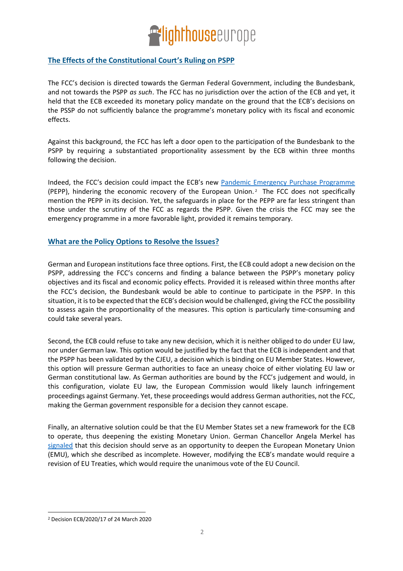

## **The Effects of the Constitutional Court's Ruling on PSPP**

The FCC's decision is directed towards the German Federal Government, including the Bundesbank, and not towards the PSPP *as such*. The FCC has no jurisdiction over the action of the ECB and yet, it held that the ECB exceeded its monetary policy mandate on the ground that the ECB's decisions on the PSSP do not sufficiently balance the programme's monetary policy with its fiscal and economic effects.

Against this background, the FCC has left a door open to the participation of the Bundesbank to the PSPP by requiring a substantiated proportionality assessment by the ECB within three months following the decision.

Indeed, the FCC's decision could impact the ECB's new [Pandemic Emergency Purchase Programme](https://www.ecb.europa.eu/mopo/implement/pepp/html/index.en.html) (PEPP), hindering the economic recovery of the European Union. <sup>2</sup> The FCC does not specifically mention the PEPP in its decision. Yet, the safeguards in place for the PEPP are far less stringent than those under the scrutiny of the FCC as regards the PSPP. Given the crisis the FCC may see the emergency programme in a more favorable light, provided it remains temporary.

#### **What are the Policy Options to Resolve the Issues?**

German and European institutions face three options. First, the ECB could adopt a new decision on the PSPP, addressing the FCC's concerns and finding a balance between the PSPP's monetary policy objectives and its fiscal and economic policy effects. Provided it is released within three months after the FCC's decision, the Bundesbank would be able to continue to participate in the PSPP. In this situation, it is to be expected that the ECB's decision would be challenged, giving the FCC the possibility to assess again the proportionality of the measures. This option is particularly time-consuming and could take several years.

Second, the ECB could refuse to take any new decision, which it is neither obliged to do under EU law, nor under German law. This option would be justified by the fact that the ECB is independent and that the PSPP has been validated by the CJEU, a decision which is binding on EU Member States. However, this option will pressure German authorities to face an uneasy choice of either violating EU law or German constitutional law. As German authorities are bound by the FCC's judgement and would, in this configuration, violate EU law, the European Commission would likely launch infringement proceedings against Germany. Yet, these proceedings would address German authorities, not the FCC, making the German government responsible for a decision they cannot escape.

Finally, an alternative solution could be that the EU Member States set a new framework for the ECB to operate, thus deepening the existing Monetary Union. German Chancellor Angela Merkel has [signaled](https://www.handelsblatt.com/politik/deutschland/euro-zone-merkel-sieht-im-ezb-urteil-eine-chance-fuer-eine-groessere-integration-der-euro-zone/25826280.html?ticket=ST-5591751-dsBDtPxVB9qXd5LM5wNl-ap5) that this decision should serve as an opportunity to deepen the European Monetary Union (EMU), which she described as incomplete. However, modifying the ECB's mandate would require a revision of EU Treaties, which would require the unanimous vote of the EU Council.

<sup>2</sup> Decision ECB/2020/17 of 24 March 2020